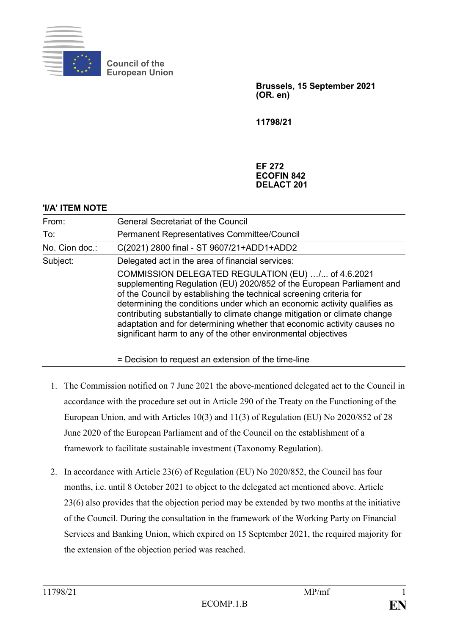

**THE INC.** 

**Council of the European Union**

> **Brussels, 15 September 2021 (OR. en)**

**11798/21**

## **EF 272 ECOFIN 842 DELACT 201**

| 'I/A' I I EM NOTE |                                                                                                                                                                                                                                                                                                                                                                                                                                                                                                         |
|-------------------|---------------------------------------------------------------------------------------------------------------------------------------------------------------------------------------------------------------------------------------------------------------------------------------------------------------------------------------------------------------------------------------------------------------------------------------------------------------------------------------------------------|
| From:             | <b>General Secretariat of the Council</b>                                                                                                                                                                                                                                                                                                                                                                                                                                                               |
| To:               | <b>Permanent Representatives Committee/Council</b>                                                                                                                                                                                                                                                                                                                                                                                                                                                      |
| No. Cion doc.:    | C(2021) 2800 final - ST 9607/21+ADD1+ADD2                                                                                                                                                                                                                                                                                                                                                                                                                                                               |
| Subject:          | Delegated act in the area of financial services:                                                                                                                                                                                                                                                                                                                                                                                                                                                        |
|                   | COMMISSION DELEGATED REGULATION (EU) / of 4.6.2021<br>supplementing Regulation (EU) 2020/852 of the European Parliament and<br>of the Council by establishing the technical screening criteria for<br>determining the conditions under which an economic activity qualifies as<br>contributing substantially to climate change mitigation or climate change<br>adaptation and for determining whether that economic activity causes no<br>significant harm to any of the other environmental objectives |
|                   | = Decision to request an extension of the time-line                                                                                                                                                                                                                                                                                                                                                                                                                                                     |

- 1. The Commission notified on 7 June 2021 the above-mentioned delegated act to the Council in accordance with the procedure set out in Article 290 of the Treaty on the Functioning of the European Union, and with Articles 10(3) and 11(3) of Regulation (EU) No 2020/852 of 28 June 2020 of the European Parliament and of the Council on the establishment of a framework to facilitate sustainable investment (Taxonomy Regulation).
- 2. In accordance with Article 23(6) of Regulation (EU) No 2020/852, the Council has four months, i.e. until 8 October 2021 to object to the delegated act mentioned above. Article 23(6) also provides that the objection period may be extended by two months at the initiative of the Council. During the consultation in the framework of the Working Party on Financial Services and Banking Union, which expired on 15 September 2021, the required majority for the extension of the objection period was reached.